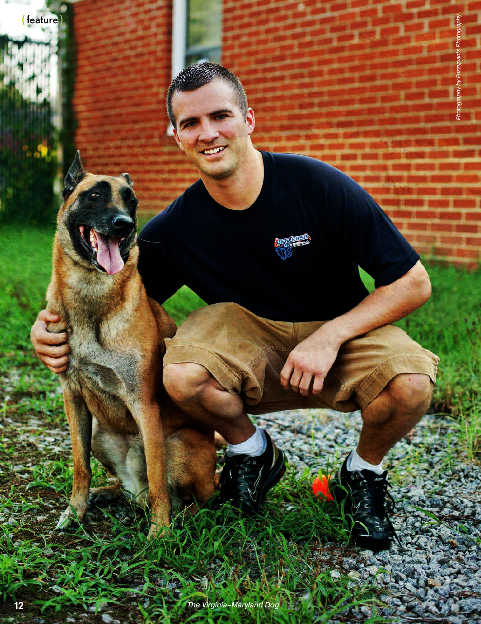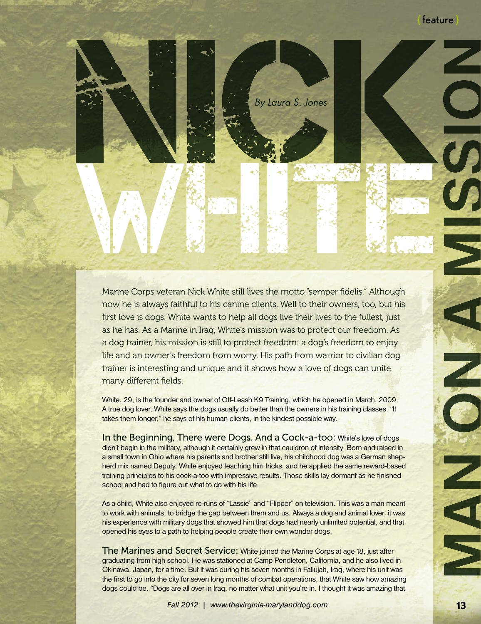## feature

 $\Box$ 



Marine Corps veteran Nick White still lives the motto "semper fidelis." Although now he is always faithful to his canine clients. Well to their owners, too, but his first love is dogs. White wants to help all dogs live their lives to the fullest, just as he has. As a Marine in Iraq, White's mission was to protect our freedom. As a dog trainer, his mission is still to protect freedom: a dog's freedom to enjoy life and an owner's freedom from worry. His path from warrior to civilian dog trainer is interesting and unique and it shows how a love of dogs can unite many different fields.

White, 29, is the founder and owner of Off-Leash K9 Training, which he opened in March, 2009. A true dog lover, White says the dogs usually do better than the owners in his training classes. "It takes them longer," he says of his human clients, in the kindest possible way.

In the Beginning, There were Dogs. And a Cock-a-too: White's love of dogs didn't begin in the military, although it certainly grew in that cauldron of intensity. Born and raised in a small town in Ohio where his parents and brother still live, his childhood dog was a German shepherd mix named Deputy. White enjoyed teaching him tricks, and he applied the same reward-based training principles to his cock-a-too with impressive results. Those skills lay dormant as he finished school and had to figure out what to do with his life.

As a child, White also enjoyed re-runs of "Lassie" and "Flipper" on television. This was a man meant to work with animals, to bridge the gap between them and us. Always a dog and animal lover, it was his experience with military dogs that showed him that dogs had nearly unlimited potential, and that opened his eyes to a path to helping people create their own wonder dogs.

The Marines and Secret Service: White joined the Marine Corps at age 18, just after graduating from high school. He was stationed at Camp Pendleton, California, and he also lived in Okinawa, Japan, for a time. But it was during his seven months in Fallujah, Iraq, where his unit was the first to go into the city for seven long months of combat operations, that White saw how amazing dogs could be. "Dogs are all over in Iraq, no matter what unit you're in. I thought it was amazing that

NAN

ZON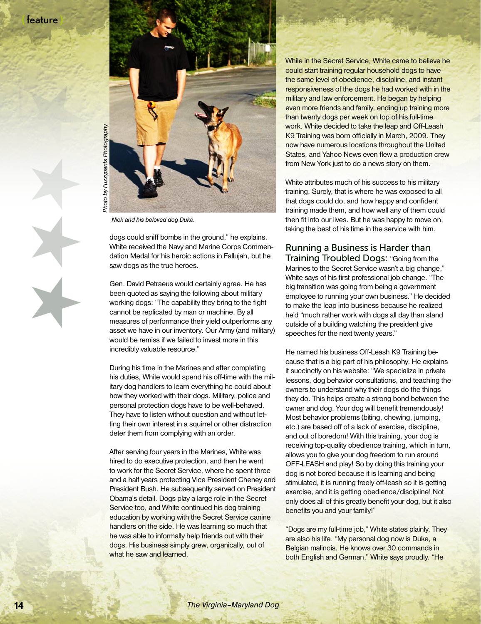## feature



*Nick and his beloved dog Duke.*

dogs could sniff bombs in the ground," he explains. White received the Navy and Marine Corps Commendation Medal for his heroic actions in Fallujah, but he saw dogs as the true heroes.

Gen. David Petraeus would certainly agree. He has been quoted as saying the following about military working dogs: "The capability they bring to the fight cannot be replicated by man or machine. By all measures of performance their yield outperforms any asset we have in our inventory. Our Army (and military) would be remiss if we failed to invest more in this incredibly valuable resource."

During his time in the Marines and after completing his duties, White would spend his off-time with the military dog handlers to learn everything he could about how they worked with their dogs. Military, police and personal protection dogs have to be well-behaved. They have to listen without question and without letting their own interest in a squirrel or other distraction deter them from complying with an order.

After serving four years in the Marines, White was hired to do executive protection, and then he went to work for the Secret Service, where he spent three and a half years protecting Vice President Cheney and President Bush. He subsequently served on President Obama's detail. Dogs play a large role in the Secret Service too, and White continued his dog training education by working with the Secret Service canine handlers on the side. He was learning so much that he was able to informally help friends out with their dogs. His business simply grew, organically, out of what he saw and learned.

While in the Secret Service, White came to believe he could start training regular household dogs to have the same level of obedience, discipline, and instant responsiveness of the dogs he had worked with in the military and law enforcement. He began by helping even more friends and family, ending up training more than twenty dogs per week on top of his full-time work. White decided to take the leap and Off-Leash K9 Training was born officially in March, 2009. They now have numerous locations throughout the United States, and Yahoo News even flew a production crew from New York just to do a news story on them.

White attributes much of his success to his military training. Surely, that is where he was exposed to all that dogs could do, and how happy and confident training made them, and how well any of them could then fit into our lives. But he was happy to move on, taking the best of his time in the service with him.

## Running a Business is Harder than

Training Troubled Dogs: "Going from the Marines to the Secret Service wasn't a big change," White says of his first professional job change. "The big transition was going from being a government employee to running your own business." He decided to make the leap into business because he realized he'd "much rather work with dogs all day than stand outside of a building watching the president give speeches for the next twenty years."

He named his business Off-Leash K9 Training because that is a big part of his philosophy. He explains it succinctly on his website: "We specialize in private lessons, dog behavior consultations, and teaching the owners to understand why their dogs do the things they do. This helps create a strong bond between the owner and dog. Your dog will benefit tremendously! Most behavior problems (biting, chewing, jumping, etc.) are based off of a lack of exercise, discipline, and out of boredom! With this training, your dog is receiving top-quality obedience training, which in turn, allows you to give your dog freedom to run around OFF-LEASH and play! So by doing this training your dog is not bored because it is learning and being stimulated, it is running freely off-leash so it is getting exercise, and it is getting obedience/discipline! Not only does all of this greatly benefit your dog, but it also benefits you and your family!"

"Dogs are my full-time job," White states plainly. They are also his life. "My personal dog now is Duke, a Belgian malinois. He knows over 30 commands in both English and German," White says proudly. "He